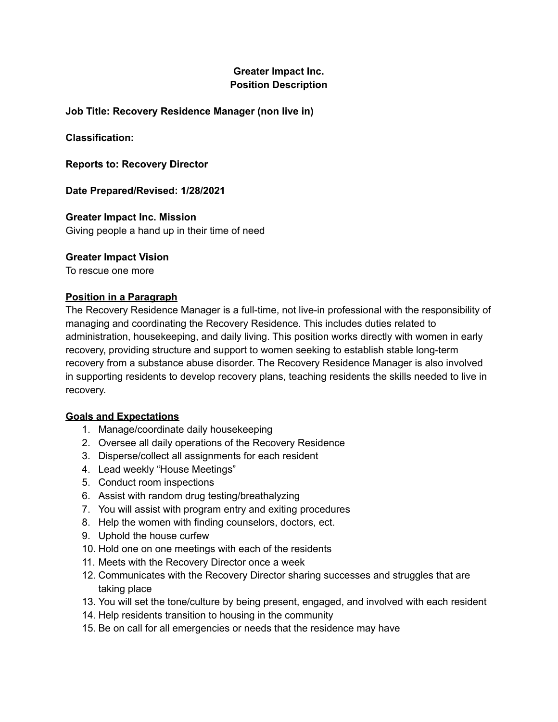# **Greater Impact Inc. Position Description**

## **Job Title: Recovery Residence Manager (non live in)**

**Classification:**

**Reports to: Recovery Director**

**Date Prepared/Revised: 1/28/2021**

**Greater Impact Inc. Mission** Giving people a hand up in their time of need

## **Greater Impact Vision**

To rescue one more

## **Position in a Paragraph**

The Recovery Residence Manager is a full-time, not live-in professional with the responsibility of managing and coordinating the Recovery Residence. This includes duties related to administration, housekeeping, and daily living. This position works directly with women in early recovery, providing structure and support to women seeking to establish stable long-term recovery from a substance abuse disorder. The Recovery Residence Manager is also involved in supporting residents to develop recovery plans, teaching residents the skills needed to live in recovery.

## **Goals and Expectations**

- 1. Manage/coordinate daily housekeeping
- 2. Oversee all daily operations of the Recovery Residence
- 3. Disperse/collect all assignments for each resident
- 4. Lead weekly "House Meetings"
- 5. Conduct room inspections
- 6. Assist with random drug testing/breathalyzing
- 7. You will assist with program entry and exiting procedures
- 8. Help the women with finding counselors, doctors, ect.
- 9. Uphold the house curfew
- 10. Hold one on one meetings with each of the residents
- 11. Meets with the Recovery Director once a week
- 12. Communicates with the Recovery Director sharing successes and struggles that are taking place
- 13. You will set the tone/culture by being present, engaged, and involved with each resident
- 14. Help residents transition to housing in the community
- 15. Be on call for all emergencies or needs that the residence may have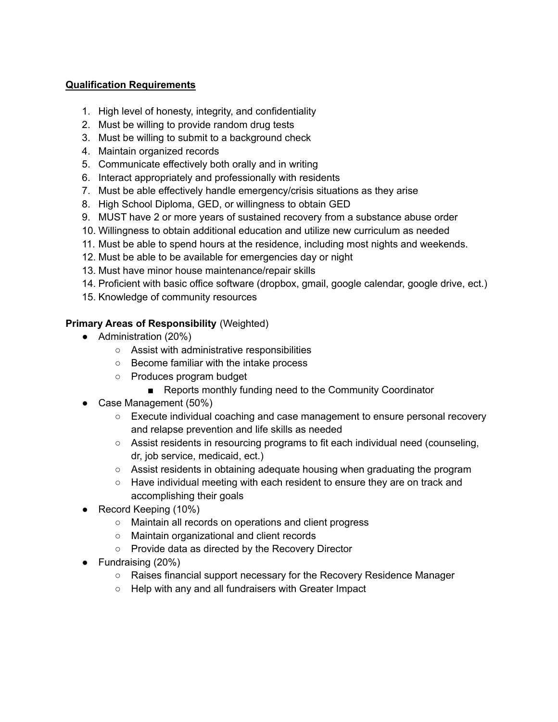# **Qualification Requirements**

- 1. High level of honesty, integrity, and confidentiality
- 2. Must be willing to provide random drug tests
- 3. Must be willing to submit to a background check
- 4. Maintain organized records
- 5. Communicate effectively both orally and in writing
- 6. Interact appropriately and professionally with residents
- 7. Must be able effectively handle emergency/crisis situations as they arise
- 8. High School Diploma, GED, or willingness to obtain GED
- 9. MUST have 2 or more years of sustained recovery from a substance abuse order
- 10. Willingness to obtain additional education and utilize new curriculum as needed
- 11. Must be able to spend hours at the residence, including most nights and weekends.
- 12. Must be able to be available for emergencies day or night
- 13. Must have minor house maintenance/repair skills
- 14. Proficient with basic office software (dropbox, gmail, google calendar, google drive, ect.)
- 15. Knowledge of community resources

# **Primary Areas of Responsibility** (Weighted)

- Administration (20%)
	- Assist with administrative responsibilities
	- Become familiar with the intake process
	- Produces program budget
		- Reports monthly funding need to the Community Coordinator
- Case Management (50%)
	- Execute individual coaching and case management to ensure personal recovery and relapse prevention and life skills as needed
	- $\circ$  Assist residents in resourcing programs to fit each individual need (counseling, dr, job service, medicaid, ect.)
	- Assist residents in obtaining adequate housing when graduating the program
	- Have individual meeting with each resident to ensure they are on track and accomplishing their goals
- Record Keeping (10%)
	- Maintain all records on operations and client progress
	- Maintain organizational and client records
	- Provide data as directed by the Recovery Director
- Fundraising (20%)
	- Raises financial support necessary for the Recovery Residence Manager
	- Help with any and all fundraisers with Greater Impact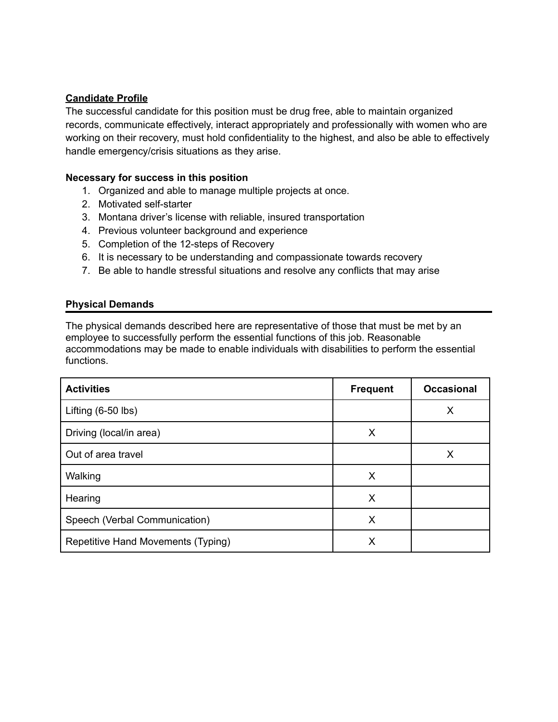## **Candidate Profile**

The successful candidate for this position must be drug free, able to maintain organized records, communicate effectively, interact appropriately and professionally with women who are working on their recovery, must hold confidentiality to the highest, and also be able to effectively handle emergency/crisis situations as they arise.

### **Necessary for success in this position**

- 1. Organized and able to manage multiple projects at once.
- 2. Motivated self-starter
- 3. Montana driver's license with reliable, insured transportation
- 4. Previous volunteer background and experience
- 5. Completion of the 12-steps of Recovery
- 6. It is necessary to be understanding and compassionate towards recovery
- 7. Be able to handle stressful situations and resolve any conflicts that may arise

### **Physical Demands**

The physical demands described here are representative of those that must be met by an employee to successfully perform the essential functions of this job. Reasonable accommodations may be made to enable individuals with disabilities to perform the essential functions.

| <b>Activities</b>                  | <b>Frequent</b> | <b>Occasional</b> |
|------------------------------------|-----------------|-------------------|
| Lifting $(6-50$ lbs)               |                 | X                 |
| Driving (local/in area)            | X               |                   |
| Out of area travel                 |                 | Χ                 |
| Walking                            | X               |                   |
| Hearing                            | X               |                   |
| Speech (Verbal Communication)      | X               |                   |
| Repetitive Hand Movements (Typing) | X               |                   |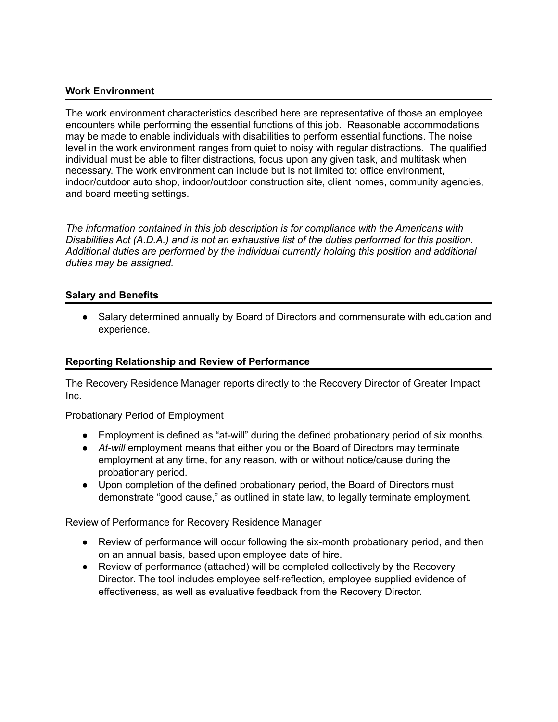### **Work Environment**

The work environment characteristics described here are representative of those an employee encounters while performing the essential functions of this job. Reasonable accommodations may be made to enable individuals with disabilities to perform essential functions. The noise level in the work environment ranges from quiet to noisy with regular distractions. The qualified individual must be able to filter distractions, focus upon any given task, and multitask when necessary. The work environment can include but is not limited to: office environment, indoor/outdoor auto shop, indoor/outdoor construction site, client homes, community agencies, and board meeting settings.

*The information contained in this job description is for compliance with the Americans with Disabilities Act (A.D.A.) and is not an exhaustive list of the duties performed for this position. Additional duties are performed by the individual currently holding this position and additional duties may be assigned.*

### **Salary and Benefits**

• Salary determined annually by Board of Directors and commensurate with education and experience.

### **Reporting Relationship and Review of Performance**

The Recovery Residence Manager reports directly to the Recovery Director of Greater Impact Inc.

Probationary Period of Employment

- Employment is defined as "at-will" during the defined probationary period of six months.
- *At-will* employment means that either you or the Board of Directors may terminate employment at any time, for any reason, with or without notice/cause during the probationary period.
- Upon completion of the defined probationary period, the Board of Directors must demonstrate "good cause," as outlined in state law, to legally terminate employment.

Review of Performance for Recovery Residence Manager

- Review of performance will occur following the six-month probationary period, and then on an annual basis, based upon employee date of hire.
- Review of performance (attached) will be completed collectively by the Recovery Director. The tool includes employee self-reflection, employee supplied evidence of effectiveness, as well as evaluative feedback from the Recovery Director.